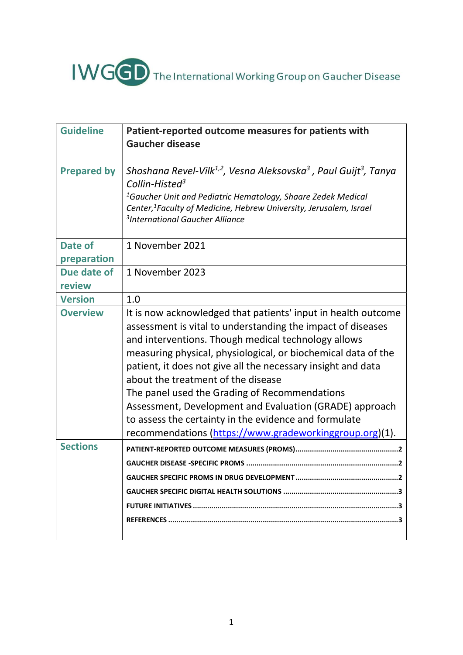# IWGGD The International Working Group on Gaucher Disease

| <b>Guideline</b>   | Patient-reported outcome measures for patients with<br><b>Gaucher disease</b>                                                                                                                                                                                                                                                                                                                                                                                                                                                                                                              |
|--------------------|--------------------------------------------------------------------------------------------------------------------------------------------------------------------------------------------------------------------------------------------------------------------------------------------------------------------------------------------------------------------------------------------------------------------------------------------------------------------------------------------------------------------------------------------------------------------------------------------|
| <b>Prepared by</b> | Shoshana Revel-Vilk <sup>1,2</sup> , Vesna Aleksovska <sup>3</sup> , Paul Guijt <sup>3</sup> , Tanya<br>Collin-Histed <sup>3</sup><br><sup>1</sup> Gaucher Unit and Pediatric Hematology, Shaare Zedek Medical<br>Center, <sup>1</sup> Faculty of Medicine, Hebrew University, Jerusalem, Israel<br><sup>3</sup> International Gaucher Alliance                                                                                                                                                                                                                                            |
| Date of            | 1 November 2021                                                                                                                                                                                                                                                                                                                                                                                                                                                                                                                                                                            |
| preparation        |                                                                                                                                                                                                                                                                                                                                                                                                                                                                                                                                                                                            |
| Due date of        | 1 November 2023                                                                                                                                                                                                                                                                                                                                                                                                                                                                                                                                                                            |
| review             |                                                                                                                                                                                                                                                                                                                                                                                                                                                                                                                                                                                            |
| <b>Version</b>     | 1.0                                                                                                                                                                                                                                                                                                                                                                                                                                                                                                                                                                                        |
| <b>Overview</b>    | It is now acknowledged that patients' input in health outcome<br>assessment is vital to understanding the impact of diseases<br>and interventions. Though medical technology allows<br>measuring physical, physiological, or biochemical data of the<br>patient, it does not give all the necessary insight and data<br>about the treatment of the disease<br>The panel used the Grading of Recommendations<br>Assessment, Development and Evaluation (GRADE) approach<br>to assess the certainty in the evidence and formulate<br>recommendations (https://www.gradeworkinggroup.org)(1). |
| <b>Sections</b>    |                                                                                                                                                                                                                                                                                                                                                                                                                                                                                                                                                                                            |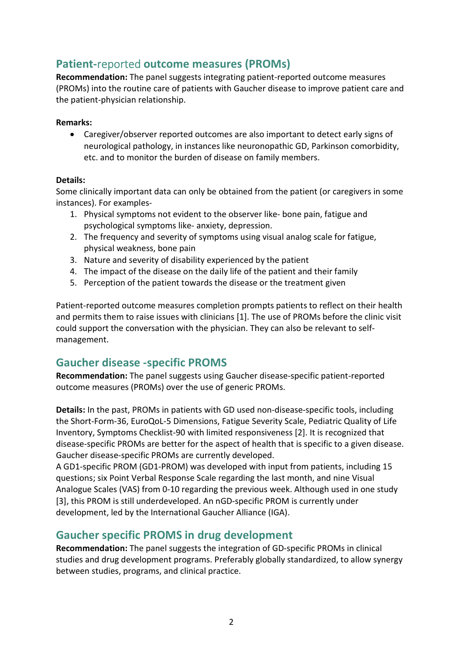# Patient-reported outcome measures (PROMs)

Recommendation: The panel suggests integrating patient-reported outcome measures (PROMs) into the routine care of patients with Gaucher disease to improve patient care and the patient-physician relationship.

#### Remarks:

 Caregiver/observer reported outcomes are also important to detect early signs of neurological pathology, in instances like neuronopathic GD, Parkinson comorbidity, etc. and to monitor the burden of disease on family members.

#### Details:

Some clinically important data can only be obtained from the patient (or caregivers in some instances). For examples-

- 1. Physical symptoms not evident to the observer like- bone pain, fatigue and psychological symptoms like- anxiety, depression.
- 2. The frequency and severity of symptoms using visual analog scale for fatigue, physical weakness, bone pain
- 3. Nature and severity of disability experienced by the patient
- 4. The impact of the disease on the daily life of the patient and their family
- 5. Perception of the patient towards the disease or the treatment given

Patient-reported outcome measures completion prompts patients to reflect on their health and permits them to raise issues with clinicians [1]. The use of PROMs before the clinic visit could support the conversation with the physician. They can also be relevant to selfmanagement.

## Gaucher disease -specific PROMS

Recommendation: The panel suggests using Gaucher disease-specific patient-reported outcome measures (PROMs) over the use of generic PROMs.

Details: In the past, PROMs in patients with GD used non-disease-specific tools, including the Short-Form-36, EuroQoL-5 Dimensions, Fatigue Severity Scale, Pediatric Quality of Life Inventory, Symptoms Checklist-90 with limited responsiveness [2]. It is recognized that disease-specific PROMs are better for the aspect of health that is specific to a given disease. Gaucher disease-specific PROMs are currently developed.

A GD1-specific PROM (GD1-PROM) was developed with input from patients, including 15 questions; six Point Verbal Response Scale regarding the last month, and nine Visual Analogue Scales (VAS) from 0-10 regarding the previous week. Although used in one study [3], this PROM is still underdeveloped. An nGD-specific PROM is currently under development, led by the International Gaucher Alliance (IGA).

## Gaucher specific PROMS in drug development

Recommendation: The panel suggests the integration of GD-specific PROMs in clinical studies and drug development programs. Preferably globally standardized, to allow synergy between studies, programs, and clinical practice.